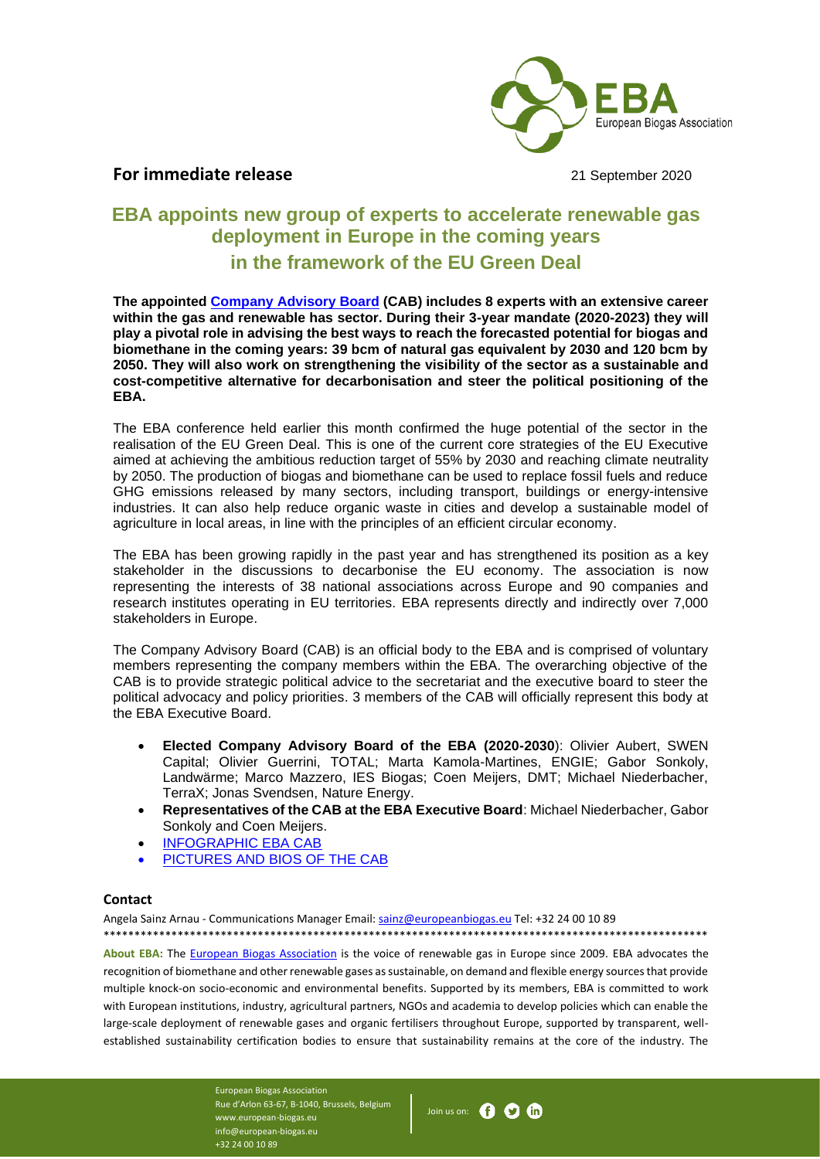

## For immediate release **21 September 2020**

## **EBA appoints new group of experts to accelerate renewable gas deployment in Europe in the coming years in the framework of the EU Green Deal**

**The appointed [Company Advisory Board](https://www.europeanbiogas.eu/board/company-advisory-board/) (CAB) includes 8 experts with an extensive career within the gas and renewable has sector. During their 3-year mandate (2020-2023) they will play a pivotal role in advising the best ways to reach the forecasted potential for biogas and biomethane in the coming years: 39 bcm of natural gas equivalent by 2030 and 120 bcm by 2050. They will also work on strengthening the visibility of the sector as a sustainable and cost-competitive alternative for decarbonisation and steer the political positioning of the EBA.**

The EBA conference held earlier this month confirmed the huge potential of the sector in the realisation of the EU Green Deal. This is one of the current core strategies of the EU Executive aimed at achieving the ambitious reduction target of 55% by 2030 and reaching climate neutrality by 2050. The production of biogas and biomethane can be used to replace fossil fuels and reduce GHG emissions released by many sectors, including transport, buildings or energy-intensive industries. It can also help reduce organic waste in cities and develop a sustainable model of agriculture in local areas, in line with the principles of an efficient circular economy.

The EBA has been growing rapidly in the past year and has strengthened its position as a key stakeholder in the discussions to decarbonise the EU economy. The association is now representing the interests of 38 national associations across Europe and 90 companies and research institutes operating in EU territories. EBA represents directly and indirectly over 7,000 stakeholders in Europe.

The Company Advisory Board (CAB) is an official body to the EBA and is comprised of voluntary members representing the company members within the EBA. The overarching objective of the CAB is to provide strategic political advice to the secretariat and the executive board to steer the political advocacy and policy priorities. 3 members of the CAB will officially represent this body at the EBA Executive Board.

- **Elected Company Advisory Board of the EBA (2020-2030**): Olivier Aubert, SWEN Capital; Olivier Guerrini, TOTAL; Marta Kamola-Martines, ENGIE; Gabor Sonkoly, Landwärme; Marco Mazzero, IES Biogas; Coen Meijers, DMT; Michael Niederbacher, TerraX; Jonas Svendsen, Nature Energy.
- **Representatives of the CAB at the EBA Executive Board**: Michael Niederbacher, Gabor Sonkoly and Coen Meijers.

\*\*\*\*\*\*\*\*\*\*\*\*\*\*\*\*\*\*\*\*\*\*\*\*\*\*\*\*\*\*\*\*\*\*\*\*\*\*\*\*\*\*\*\*\*\*\*\*\*\*\*\*\*\*\*\*\*\*\*\*\*\*\*\*\*\*\*\*\*\*\*\*\*\*\*\*\*\*\*\*\*\*\*\*\*\*\*\*\*\*\*\*\*\*\*\*\*\*

- [INFOGRAPHIC EBA CAB](https://www.europeanbiogas.eu/wp-content/uploads/2020/09/EBA-CAB.png)
- PICTURES AND BIOS OF THE CAB

## **Contact**

Angela Sainz Arnau - Communications Manager Email: [sainz@europeanbiogas.eu](mailto:sainz@europeanbiogas.eu) Tel: +32 24 00 10 89

**About EBA:** The [European Biogas Association](https://www.europeanbiogas.eu/) is the voice of renewable gas in Europe since 2009. EBA advocates the recognition of biomethane and other renewable gases as sustainable, on demand and flexible energy sources that provide multiple knock-on socio-economic and environmental benefits. Supported by its members, EBA is committed to work with European institutions, industry, agricultural partners, NGOs and academia to develop policies which can enable the large-scale deployment of renewable gases and organic fertilisers throughout Europe, supported by transparent, wellestablished sustainability certification bodies to ensure that sustainability remains at the core of the industry. The

> European Biogas Association Rue d'Arlon 63-67, B-1040, Brussels, Belgium www.european-biogas.eu info@european-biogas.eu +32 24 00 10 89